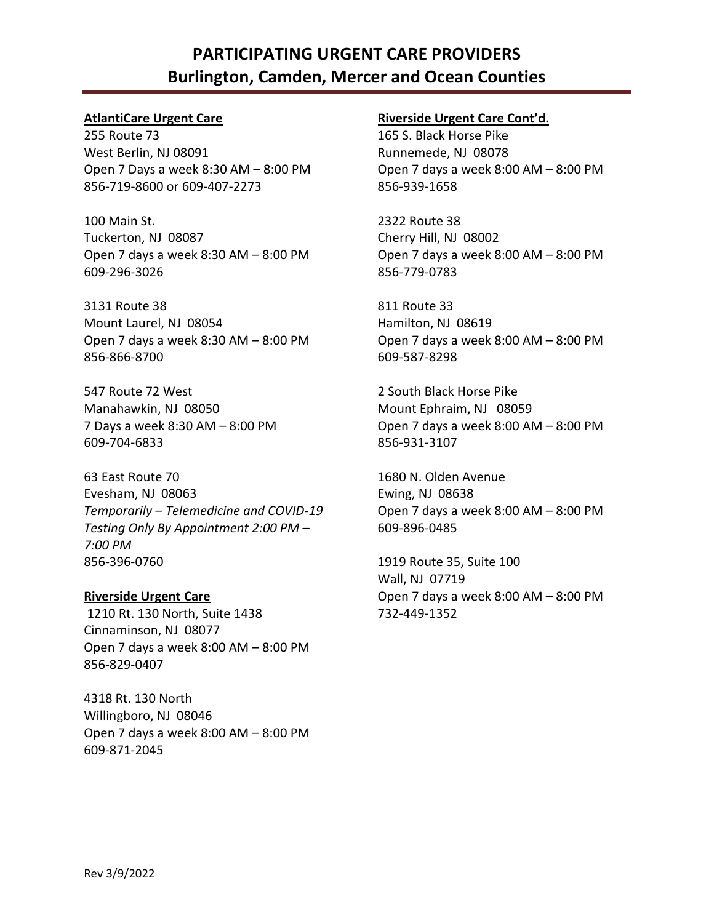# **PARTICIPATING URGENT CARE PROVIDERS Burlington, Camden, Mercer and Ocean Counties**

### **AtlantiCare Urgent Care**

255 Route 73 West Berlin, NJ 08091 Open 7 Days a week 8:30 AM – 8:00 PM 856-719-8600 or 609-407-2273

100 Main St. Tuckerton, NJ 08087 Open 7 days a week 8:30 AM – 8:00 PM 609-296-3026

3131 Route 38 Mount Laurel, NJ 08054 Open 7 days a week 8:30 AM – 8:00 PM 856-866-8700

547 Route 72 West Manahawkin, NJ 08050 7 Days a week 8:30 AM – 8:00 PM 609-704-6833

63 East Route 70 Evesham, NJ 08063 *Temporarily – Telemedicine and COVID-19 Testing Only By Appointment 2:00 PM – 7:00 PM* 856-396-0760

**Riverside Urgent Care** 1210 Rt. 130 North, Suite 1438 Cinnaminson, NJ 08077 Open 7 days a week 8:00 AM – 8:00 PM 856-829-0407

4318 Rt. 130 North Willingboro, NJ 08046 Open 7 days a week 8:00 AM – 8:00 PM 609-871-2045

### **Riverside Urgent Care Cont'd.**

165 S. Black Horse Pike Runnemede, NJ 08078 Open 7 days a week 8:00 AM – 8:00 PM 856-939-1658

2322 Route 38 Cherry Hill, NJ 08002 Open 7 days a week 8:00 AM – 8:00 PM 856-779-0783

811 Route 33 Hamilton, NJ 08619 Open 7 days a week 8:00 AM – 8:00 PM 609-587-8298

2 South Black Horse Pike Mount Ephraim, NJ 08059 Open 7 days a week 8:00 AM – 8:00 PM 856-931-3107

1680 N. Olden Avenue Ewing, NJ 08638 Open 7 days a week 8:00 AM – 8:00 PM 609-896-0485

1919 Route 35, Suite 100 Wall, NJ 07719 Open 7 days a week 8:00 AM – 8:00 PM 732-449-1352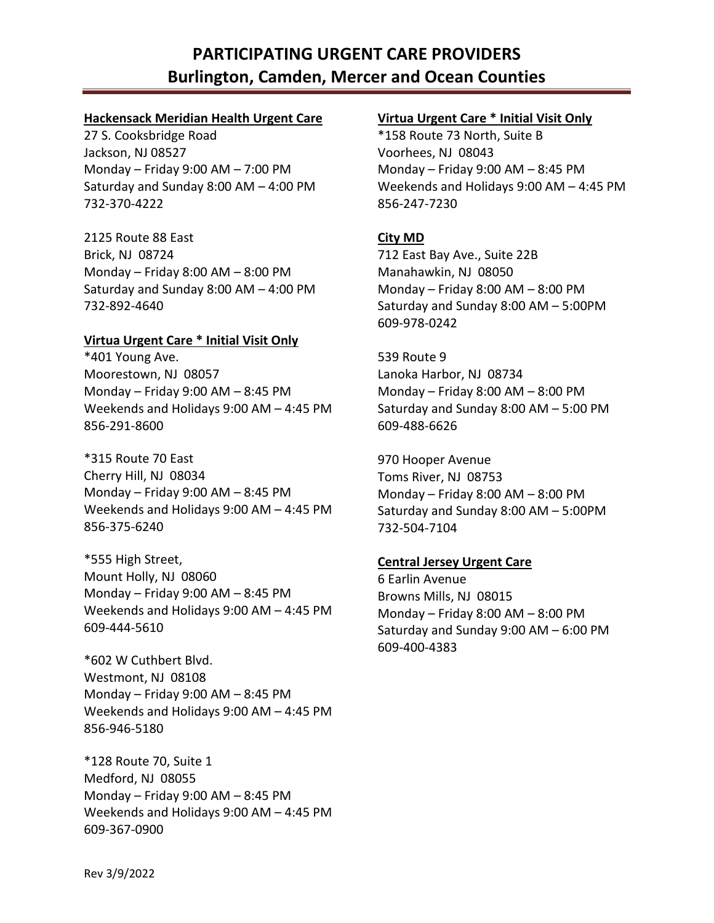# **PARTICIPATING URGENT CARE PROVIDERS Burlington, Camden, Mercer and Ocean Counties**

### **Hackensack Meridian Health Urgent Care**

27 S. Cooksbridge Road Jackson, NJ 08527 Monday – Friday 9:00 AM – 7:00 PM Saturday and Sunday 8:00 AM – 4:00 PM 732-370-4222

2125 Route 88 East Brick, NJ 08724 Monday – Friday 8:00 AM – 8:00 PM Saturday and Sunday 8:00 AM – 4:00 PM 732-892-4640

# **Virtua Urgent Care \* Initial Visit Only**

\*401 Young Ave. Moorestown, NJ 08057 Monday – Friday 9:00 AM – 8:45 PM Weekends and Holidays 9:00 AM – 4:45 PM 856-291-8600

\*315 Route 70 East Cherry Hill, NJ 08034 Monday – Friday 9:00 AM – 8:45 PM Weekends and Holidays 9:00 AM – 4:45 PM 856-375-6240

\*555 High Street, Mount Holly, NJ 08060 Monday – Friday 9:00 AM – 8:45 PM Weekends and Holidays 9:00 AM – 4:45 PM 609-444-5610

\*602 W Cuthbert Blvd. Westmont, NJ 08108 Monday – Friday 9:00 AM – 8:45 PM Weekends and Holidays 9:00 AM – 4:45 PM 856-946-5180

\*128 Route 70, Suite 1 Medford, NJ 08055 Monday – Friday 9:00 AM – 8:45 PM Weekends and Holidays 9:00 AM – 4:45 PM 609-367-0900

# **Virtua Urgent Care \* Initial Visit Only**

\*158 Route 73 North, Suite B Voorhees, NJ 08043 Monday – Friday 9:00 AM – 8:45 PM Weekends and Holidays 9:00 AM – 4:45 PM 856-247-7230

# **City MD**

712 East Bay Ave., Suite 22B Manahawkin, NJ 08050 Monday – Friday 8:00 AM – 8:00 PM Saturday and Sunday 8:00 AM – 5:00PM 609-978-0242

539 Route 9 Lanoka Harbor, NJ 08734 Monday – Friday 8:00 AM – 8:00 PM Saturday and Sunday 8:00 AM – 5:00 PM 609-488-6626

970 Hooper Avenue Toms River, NJ 08753 Monday – Friday 8:00 AM – 8:00 PM Saturday and Sunday 8:00 AM – 5:00PM 732-504-7104

# **Central Jersey Urgent Care**

6 Earlin Avenue Browns Mills, NJ 08015 Monday – Friday 8:00 AM – 8:00 PM Saturday and Sunday 9:00 AM – 6:00 PM 609-400-4383